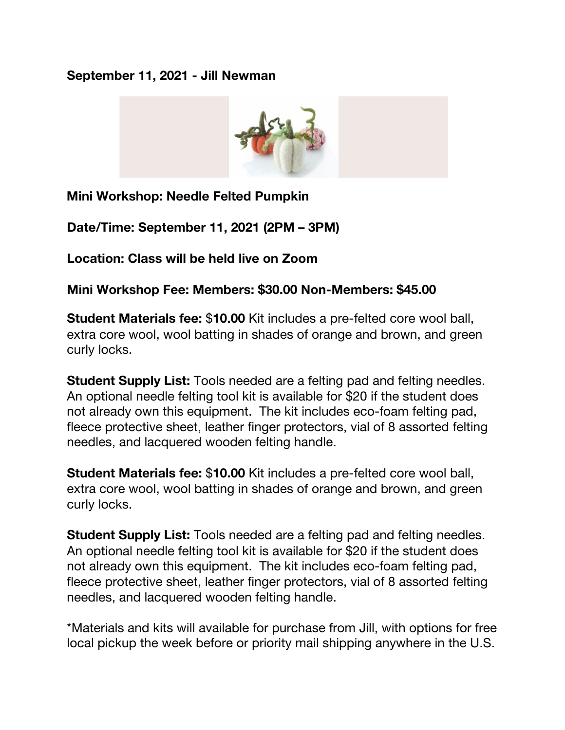## **September 11, 2021 - Jill Newman**



**Mini Workshop: Needle Felted Pumpkin**

**Date/Time: September 11, 2021 (2PM – 3PM)**

**Location: Class will be held live on Zoom**

**Mini Workshop Fee: Members: \$30.00 Non-Members: \$45.00**

**Student Materials fee:** \$**10.00** Kit includes a pre-felted core wool ball, extra core wool, wool batting in shades of orange and brown, and green curly locks.

**Student Supply List:** Tools needed are a felting pad and felting needles. An optional needle felting tool kit is available for \$20 if the student does not already own this equipment. The kit includes eco-foam felting pad, fleece protective sheet, leather finger protectors, vial of 8 assorted felting needles, and lacquered wooden felting handle.

**Student Materials fee:** \$**10.00** Kit includes a pre-felted core wool ball, extra core wool, wool batting in shades of orange and brown, and green curly locks.

**Student Supply List:** Tools needed are a felting pad and felting needles. An optional needle felting tool kit is available for \$20 if the student does not already own this equipment. The kit includes eco-foam felting pad, fleece protective sheet, leather finger protectors, vial of 8 assorted felting needles, and lacquered wooden felting handle.

\*Materials and kits will available for purchase from Jill, with options for free local pickup the week before or priority mail shipping anywhere in the U.S.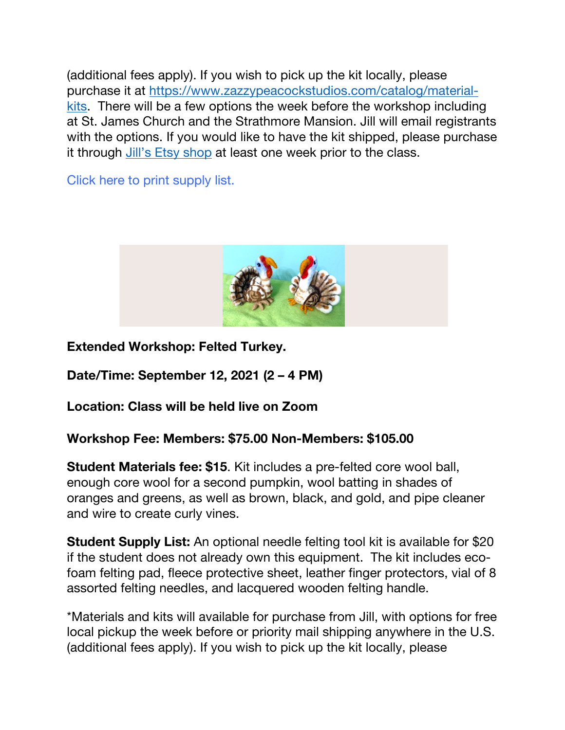(additional fees apply). If you wish to pick up the kit locally, please purchase it at https://www.zazzypeacockstudios.com/catalog/materialkits. There will be a few options the week before the workshop including at St. James Church and the Strathmore Mansion. Jill will email registrants with the options. If you would like to have the kit shipped, please purchase it through Jill's Etsy shop at least one week prior to the class.

Click here to print supply list.



**Extended Workshop: Felted Turkey.** 

**Date/Time: September 12, 2021 (2 – 4 PM)**

**Location: Class will be held live on Zoom**

## **Workshop Fee: Members: \$75.00 Non-Members: \$105.00**

**Student Materials fee: \$15**. Kit includes a pre-felted core wool ball, enough core wool for a second pumpkin, wool batting in shades of oranges and greens, as well as brown, black, and gold, and pipe cleaner and wire to create curly vines.

**Student Supply List:** An optional needle felting tool kit is available for \$20 if the student does not already own this equipment. The kit includes ecofoam felting pad, fleece protective sheet, leather finger protectors, vial of 8 assorted felting needles, and lacquered wooden felting handle.

\*Materials and kits will available for purchase from Jill, with options for free local pickup the week before or priority mail shipping anywhere in the U.S. (additional fees apply). If you wish to pick up the kit locally, please